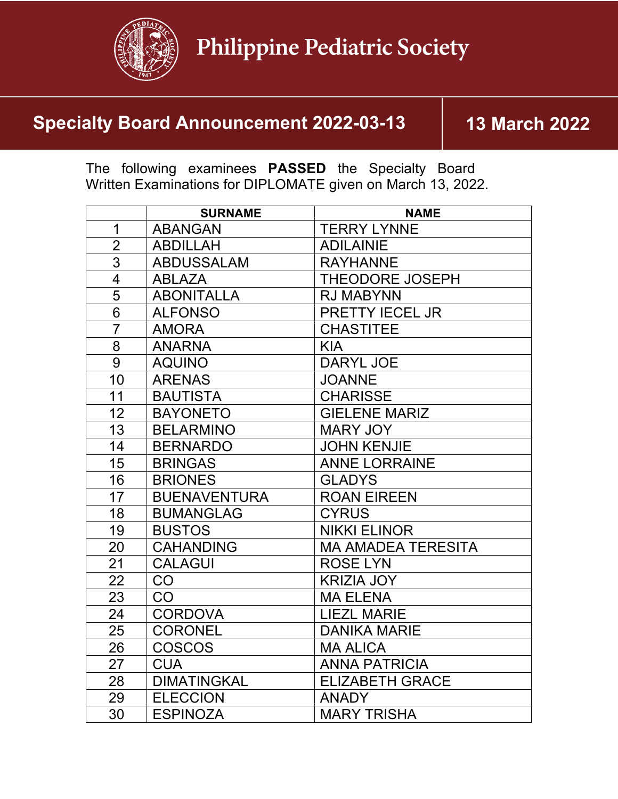

## **Specialty Board Announcement 2022-03-13 13 March 2022**

The following examinees **PASSED** the Specialty Board Written Examinations for DIPLOMATE given on March 13, 2022.

|                | <b>SURNAME</b>      | <b>NAME</b>               |
|----------------|---------------------|---------------------------|
| $\mathbf 1$    | <b>ABANGAN</b>      | <b>TERRY LYNNE</b>        |
| $\overline{2}$ | <b>ABDILLAH</b>     | <b>ADILAINIE</b>          |
| $\overline{3}$ | <b>ABDUSSALAM</b>   | <b>RAYHANNE</b>           |
| $\overline{4}$ | <b>ABLAZA</b>       | <b>THEODORE JOSEPH</b>    |
| 5              | <b>ABONITALLA</b>   | <b>RJ MABYNN</b>          |
| 6              | <b>ALFONSO</b>      | PRETTY IECEL JR           |
| $\overline{7}$ | <b>AMORA</b>        | <b>CHASTITEE</b>          |
| $\overline{8}$ | <b>ANARNA</b>       | <b>KIA</b>                |
| 9              | <b>AQUINO</b>       | <b>DARYL JOE</b>          |
| 10             | <b>ARENAS</b>       | <b>JOANNE</b>             |
| 11             | <b>BAUTISTA</b>     | <b>CHARISSE</b>           |
| 12             | <b>BAYONETO</b>     | <b>GIELENE MARIZ</b>      |
| 13             | <b>BELARMINO</b>    | <b>MARY JOY</b>           |
| 14             | <b>BERNARDO</b>     | <b>JOHN KENJIE</b>        |
| 15             | <b>BRINGAS</b>      | <b>ANNE LORRAINE</b>      |
| 16             | <b>BRIONES</b>      | <b>GLADYS</b>             |
| 17             | <b>BUENAVENTURA</b> | <b>ROAN EIREEN</b>        |
| 18             | <b>BUMANGLAG</b>    | <b>CYRUS</b>              |
| 19             | <b>BUSTOS</b>       | <b>NIKKI ELINOR</b>       |
| 20             | <b>CAHANDING</b>    | <b>MA AMADEA TERESITA</b> |
| 21             | <b>CALAGUI</b>      | <b>ROSE LYN</b>           |
| 22             | <b>CO</b>           | <b>KRIZIA JOY</b>         |
| 23             | CO                  | <b>MA ELENA</b>           |
| 24             | <b>CORDOVA</b>      | <b>LIEZL MARIE</b>        |
| 25             | <b>CORONEL</b>      | <b>DANIKA MARIE</b>       |
| 26             | <b>COSCOS</b>       | <b>MA ALICA</b>           |
| 27             | <b>CUA</b>          | <b>ANNA PATRICIA</b>      |
| 28             | <b>DIMATINGKAL</b>  | <b>ELIZABETH GRACE</b>    |
| 29             | <b>ELECCION</b>     | <b>ANADY</b>              |
| 30             | <b>ESPINOZA</b>     | <b>MARY TRISHA</b>        |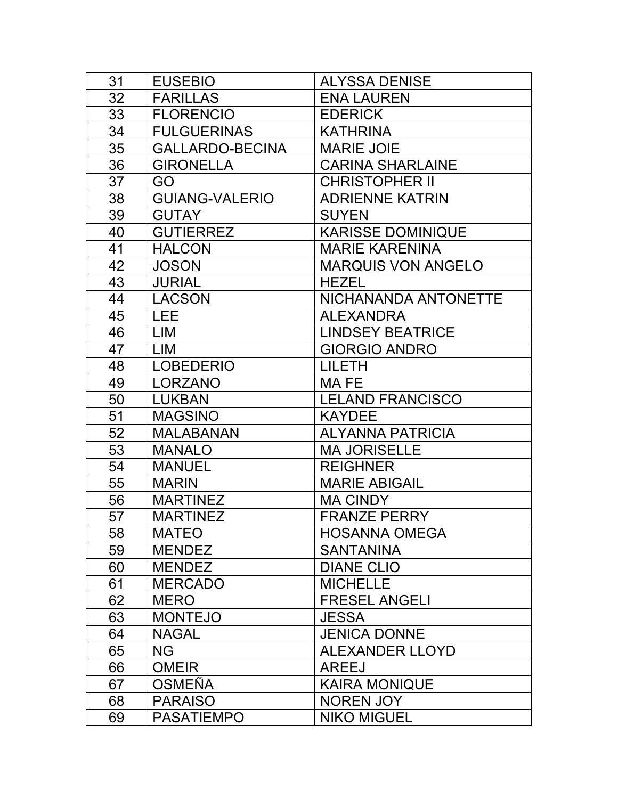| 31 | <b>EUSEBIO</b>        | <b>ALYSSA DENISE</b>      |
|----|-----------------------|---------------------------|
| 32 | <b>FARILLAS</b>       | <b>ENA LAUREN</b>         |
| 33 | <b>FLORENCIO</b>      | <b>EDERICK</b>            |
| 34 | <b>FULGUERINAS</b>    | <b>KATHRINA</b>           |
| 35 | GALLARDO-BECINA       | <b>MARIE JOIE</b>         |
| 36 | <b>GIRONELLA</b>      | <b>CARINA SHARLAINE</b>   |
| 37 | GO                    | <b>CHRISTOPHER II</b>     |
| 38 | <b>GUIANG-VALERIO</b> | <b>ADRIENNE KATRIN</b>    |
| 39 | <b>GUTAY</b>          | <b>SUYEN</b>              |
| 40 | <b>GUTIERREZ</b>      | <b>KARISSE DOMINIQUE</b>  |
| 41 | <b>HALCON</b>         | <b>MARIE KARENINA</b>     |
| 42 | <b>JOSON</b>          | <b>MARQUIS VON ANGELO</b> |
| 43 | <b>JURIAL</b>         | <b>HEZEL</b>              |
| 44 | <b>LACSON</b>         | NICHANANDA ANTONETTE      |
| 45 | <b>LEE</b>            | <b>ALEXANDRA</b>          |
| 46 | LIM                   | <b>LINDSEY BEATRICE</b>   |
| 47 | <b>LIM</b>            | <b>GIORGIO ANDRO</b>      |
| 48 | <b>LOBEDERIO</b>      | <b>LILETH</b>             |
| 49 | <b>LORZANO</b>        | MA FE                     |
| 50 | <b>LUKBAN</b>         | <b>LELAND FRANCISCO</b>   |
| 51 | <b>MAGSINO</b>        | <b>KAYDEE</b>             |
| 52 | <b>MALABANAN</b>      | <b>ALYANNA PATRICIA</b>   |
| 53 | <b>MANALO</b>         | <b>MA JORISELLE</b>       |
| 54 | <b>MANUEL</b>         | <b>REIGHNER</b>           |
| 55 | <b>MARIN</b>          | <b>MARIE ABIGAIL</b>      |
| 56 | <b>MARTINEZ</b>       | <b>MA CINDY</b>           |
| 57 | <b>MARTINEZ</b>       | <b>FRANZE PERRY</b>       |
| 58 | <b>MATEO</b>          | <b>HOSANNA OMEGA</b>      |
| 59 | <b>MENDEZ</b>         | <b>SANTANINA</b>          |
| 60 | <b>MENDEZ</b>         | <b>DIANE CLIO</b>         |
| 61 | <b>MERCADO</b>        | <b>MICHELLE</b>           |
| 62 | <b>MERO</b>           | <b>FRESEL ANGELI</b>      |
| 63 | <b>MONTEJO</b>        | <b>JESSA</b>              |
| 64 | <b>NAGAL</b>          | <b>JENICA DONNE</b>       |
| 65 | <b>NG</b>             | <b>ALEXANDER LLOYD</b>    |
| 66 | <b>OMEIR</b>          | <b>AREEJ</b>              |
| 67 | <b>OSMEÑA</b>         | <b>KAIRA MONIQUE</b>      |
| 68 | <b>PARAISO</b>        | <b>NOREN JOY</b>          |
| 69 | <b>PASATIEMPO</b>     | <b>NIKO MIGUEL</b>        |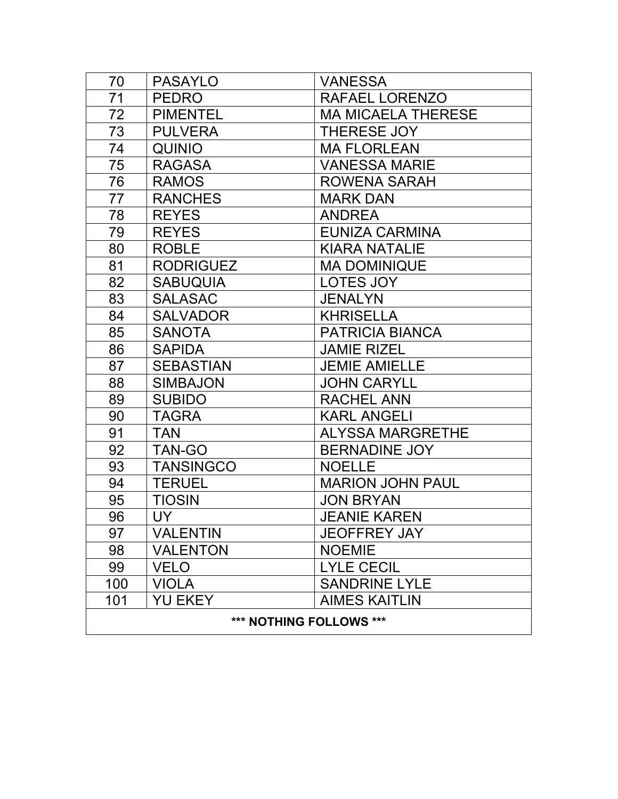| 70                      | <b>PASAYLO</b>   | <b>VANESSA</b>            |  |  |
|-------------------------|------------------|---------------------------|--|--|
| 71                      | <b>PEDRO</b>     | RAFAEL LORENZO            |  |  |
| 72                      | <b>PIMENTEL</b>  | <b>MA MICAELA THERESE</b> |  |  |
| 73                      | <b>PULVERA</b>   | <b>THERESE JOY</b>        |  |  |
| 74                      | <b>QUINIO</b>    | <b>MA FLORLEAN</b>        |  |  |
| 75                      | <b>RAGASA</b>    | <b>VANESSA MARIE</b>      |  |  |
| 76                      | <b>RAMOS</b>     | <b>ROWENA SARAH</b>       |  |  |
| 77                      | <b>RANCHES</b>   | <b>MARK DAN</b>           |  |  |
| 78                      | <b>REYES</b>     | <b>ANDREA</b>             |  |  |
| 79                      | <b>REYES</b>     | <b>EUNIZA CARMINA</b>     |  |  |
| 80                      | <b>ROBLE</b>     | <b>KIARA NATALIE</b>      |  |  |
| 81                      | <b>RODRIGUEZ</b> | <b>MA DOMINIQUE</b>       |  |  |
| 82                      | <b>SABUQUIA</b>  | LOTES JOY                 |  |  |
| 83                      | <b>SALASAC</b>   | <b>JENALYN</b>            |  |  |
| 84                      | <b>SALVADOR</b>  | <b>KHRISELLA</b>          |  |  |
| 85                      | <b>SANOTA</b>    | <b>PATRICIA BIANCA</b>    |  |  |
| 86                      | <b>SAPIDA</b>    | <b>JAMIE RIZEL</b>        |  |  |
| 87                      | <b>SEBASTIAN</b> | <b>JEMIE AMIELLE</b>      |  |  |
| 88                      | <b>SIMBAJON</b>  | <b>JOHN CARYLL</b>        |  |  |
| 89                      | <b>SUBIDO</b>    | <b>RACHEL ANN</b>         |  |  |
| 90                      | <b>TAGRA</b>     | <b>KARL ANGELI</b>        |  |  |
| 91                      | <b>TAN</b>       | <b>ALYSSA MARGRETHE</b>   |  |  |
| 92                      | TAN-GO           | <b>BERNADINE JOY</b>      |  |  |
| 93                      | <b>TANSINGCO</b> | <b>NOELLE</b>             |  |  |
| 94                      | <b>TERUEL</b>    | <b>MARION JOHN PAUL</b>   |  |  |
| 95                      | <b>TIOSIN</b>    | <b>JON BRYAN</b>          |  |  |
| 96                      | <b>UY</b>        | <b>JEANIE KAREN</b>       |  |  |
| 97                      | <b>VALENTIN</b>  | <b>JEOFFREY JAY</b>       |  |  |
| 98                      | <b>VALENTON</b>  | <b>NOEMIE</b>             |  |  |
| 99                      | <b>VELO</b>      | <b>LYLE CECIL</b>         |  |  |
| 100                     | <b>VIOLA</b>     | <b>SANDRINE LYLE</b>      |  |  |
| 101                     | <b>YU EKEY</b>   | <b>AIMES KAITLIN</b>      |  |  |
| *** NOTHING FOLLOWS *** |                  |                           |  |  |